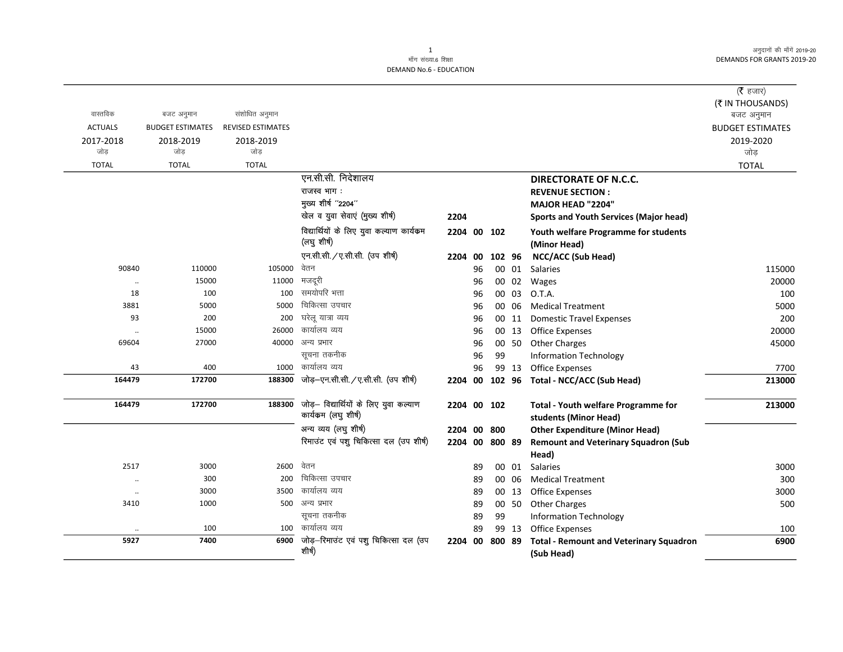अनुदानों की माँगें 2019-20 **DEMANDS FOR GRANTS 2019-20** 

## **DEMAND No.6 - EDUCATION**

| वास्तविक             | बजट अनुमान              | संशोधित अनुमान           |                                                               |             |          |        |       |                                                                     | ( $\bar{\tau}$ हजार)<br>(₹ IN THOUSANDS)<br>बजट अनुमान |
|----------------------|-------------------------|--------------------------|---------------------------------------------------------------|-------------|----------|--------|-------|---------------------------------------------------------------------|--------------------------------------------------------|
| <b>ACTUALS</b>       | <b>BUDGET ESTIMATES</b> | <b>REVISED ESTIMATES</b> |                                                               |             |          |        |       |                                                                     | <b>BUDGET ESTIMATES</b>                                |
| 2017-2018<br>जोड     | 2018-2019<br>जोड़       | 2018-2019<br>जोड़        |                                                               |             |          |        |       |                                                                     | 2019-2020<br>जोड़                                      |
| <b>TOTAL</b>         | <b>TOTAL</b>            | <b>TOTAL</b>             |                                                               |             |          |        |       |                                                                     | <b>TOTAL</b>                                           |
|                      |                         |                          | एन.सी.सी. निदेशालय                                            |             |          |        |       | <b>DIRECTORATE OF N.C.C.</b>                                        |                                                        |
|                      |                         |                          | राजस्व भाग:                                                   |             |          |        |       | <b>REVENUE SECTION:</b>                                             |                                                        |
|                      |                         |                          | मुख्य शीर्ष "2204"                                            |             |          |        |       | <b>MAJOR HEAD "2204"</b>                                            |                                                        |
|                      |                         |                          | खेल व युवा सेवाएं (मुख्य शीर्ष)                               | 2204        |          |        |       | <b>Sports and Youth Services (Major head)</b>                       |                                                        |
|                      |                         |                          | विद्यार्थियों के लिए युवा कल्याण कार्यक्रम<br>(लघु शीर्ष)     | 2204 00 102 |          |        |       | Youth welfare Programme for students<br>(Minor Head)                |                                                        |
|                      |                         |                          | एन.सी.सी. / ए.सी.सी. (उप शीर्ष)                               | 2204 00     |          | 102 96 |       | <b>NCC/ACC (Sub Head)</b>                                           |                                                        |
| 90840                | 110000                  | 105000                   | वेतन                                                          |             | 96       |        | 00 01 | Salaries                                                            | 115000                                                 |
|                      | 15000                   | 11000                    | मजदूरी                                                        |             | 96       |        | 00 02 | Wages                                                               | 20000                                                  |
| 18                   | 100                     | 100                      | समयोपरि भत्ता                                                 |             | 96       |        | 00 03 | O.T.A.                                                              | 100                                                    |
| 3881                 | 5000                    | 5000                     | चिकित्सा उपचार                                                |             | 96       |        | 00 06 | <b>Medical Treatment</b>                                            | 5000                                                   |
| 93                   | 200                     | 200                      | घरेलू यात्रा व्यय                                             |             | 96       |        | 00 11 | <b>Domestic Travel Expenses</b>                                     | 200                                                    |
|                      | 15000                   | 26000                    | कार्यालय व्यय                                                 |             | 96       |        | 00 13 | <b>Office Expenses</b>                                              | 20000                                                  |
| 69604                | 27000                   | 40000                    | अन्य प्रभार                                                   |             | 96       |        | 00 50 | <b>Other Charges</b>                                                | 45000                                                  |
|                      |                         |                          | सूचना तकनीक                                                   |             | 96       | 99     |       | <b>Information Technology</b>                                       |                                                        |
| 43                   | 400                     | 1000                     | कार्यालय व्यय                                                 |             | 96       |        | 99 13 | <b>Office Expenses</b>                                              | 7700                                                   |
| 164479               | 172700                  | 188300                   | जोड़-एन.सी.सी. /ए.सी.सी. (उप शीर्ष)                           | 2204 00     |          |        |       | 102 96 Total - NCC/ACC (Sub Head)                                   | 213000                                                 |
| 164479               | 172700                  | 188300                   | जोड़- विद्यार्थियों के लिए युवा कल्याण<br>कार्यकम (लघु शीर्ष) | 2204 00 102 |          |        |       | <b>Total - Youth welfare Programme for</b><br>students (Minor Head) | 213000                                                 |
|                      |                         |                          | अन्य व्यय (लघु शीर्ष)                                         | 2204 00     |          | 800    |       | <b>Other Expenditure (Minor Head)</b>                               |                                                        |
|                      |                         |                          | रिमाउंट एवं पशु चिकित्सा दल (उप शीर्ष)                        | 2204 00     |          | 800 89 |       | <b>Remount and Veterinary Squadron (Sub</b>                         |                                                        |
| 2517                 | 3000                    | 2600                     | वेतन                                                          |             |          |        | 00 01 | Head)<br><b>Salaries</b>                                            | 3000                                                   |
|                      | 300                     | 200                      | चिकित्सा उपचार                                                |             | 89<br>89 |        | 00 06 | <b>Medical Treatment</b>                                            | 300                                                    |
| $\ddot{\phantom{a}}$ | 3000                    | 3500                     | कार्यालय व्यय                                                 |             | 89       |        | 00 13 | <b>Office Expenses</b>                                              | 3000                                                   |
| $\ddotsc$<br>3410    | 1000                    | 500                      | अन्य प्रभार                                                   |             | 89       |        | 00 50 | <b>Other Charges</b>                                                | 500                                                    |
|                      |                         |                          | सूचना तकनीक                                                   |             | 89       | 99     |       | <b>Information Technology</b>                                       |                                                        |
|                      | 100                     | 100                      | कार्यालय व्यय                                                 |             | 89       |        | 99 13 | <b>Office Expenses</b>                                              | 100                                                    |
| 5927                 | 7400                    | 6900                     | जोड़-रिमाउंट एवं पशु चिकित्सा दल (उप<br>शीर्ष)                | 2204 00     |          | 800 89 |       | <b>Total - Remount and Veterinary Squadron</b><br>(Sub Head)        | 6900                                                   |